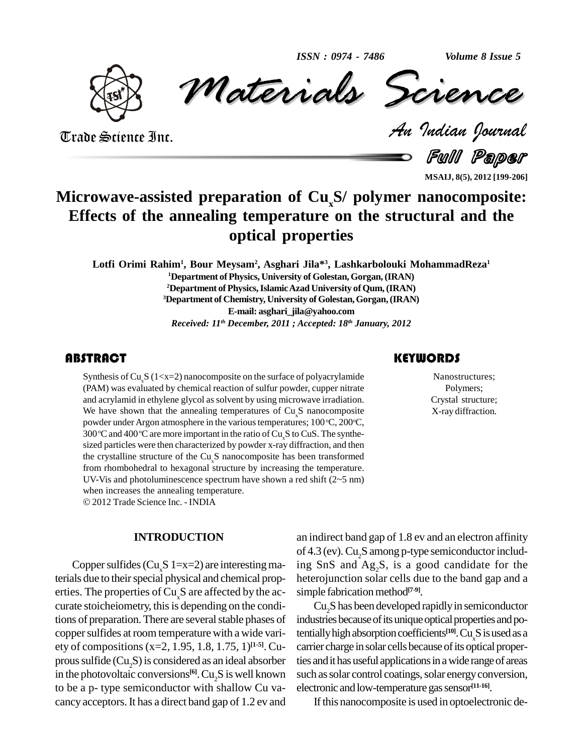*Volume 8 Issue 5*



*Materials* Science *Volume 8 Issue 5*<br> *Indian Pournal* ISSN : 0974 - 7486 Volume 8 Issue 5

Trade Science Inc. Trade Science Inc.

Full Paper

**MSAIJ, 8(5), 2012 [199-206]**

# **Microwave-assisted preparation of Cu x S/ polymer nanocomposite: Effects of the annealing temperature on the structural and the optical properties**

**Lotfi Orimi Rahim<sup>1</sup> , Bour Meysam<sup>2</sup> , Asghari Jila\* 3 , Lashkarbolouki MohammadReza 1 <sup>1</sup>Department ofPhysics, University of Golestan,Gorgan,(IRAN)** <sup>2</sup>Department of Physics, Islamic Azad University of Qum, (IRAN) **<sup>3</sup>Department of Chemistry, University of Golestan,Gorgan,(IRAN) E-mail: [asghari\\_jila@yahoo.com](mailto:asghari_jila@yahoo.com)** *Received: 11 th December, 2011 ; Accepted: 18 th January, 2012*

### **ABSTRACT**

Synthesis of Cu<sub>x</sub>S (1<x=2) nanocomposite on the surface of polyacrylamide<br>(PAM) was evaluated by chemical reaction of sulfur powder, cupper nitrate<br>and acrylamid in ethylene glycol as solvent by using microwave irradiati Synthesis of Cu<sub>x</sub>S (1<x=2) nanocomposite on the surface of polyacrylamide (PAM) was evaluated by chemical reaction of sulfur powder, cupper nitrate and acrylamid in ethylene glycol as solvent by using microwave irradiation. We have shown that the annealing temperatures of  $Cu<sub>s</sub>S$  nanocomposite powder under Argon atmosphere in the various temperatures; 100 °C, 200°C, 300 $\degree$ C and 400 $\degree$ C are mo sized particles were then characterized by powder x-ray diffraction, and then the crystalline structure of the  $Cu<sub>s</sub>S$  nanocomposite has been transformed from rhombohedral to hexagonal structure by increasing the temperature. UV-Vis and photoluminescence spectrum have shown a red shift (2~5 nm) when increases the annealing temperature.

2012Trade Science Inc. - INDIA

#### **INTRODUCTION**

Copper sulfides (Cu<sub>s</sub>S 1=x=2) are interesting materials due to their special physical and chemical properties. The properties of  $Cu<sub>x</sub>S$  are affected by the accurate stoicheiometry, this is depending on the conditions of preparation. There are several stable phases of copper sulfides at room temperature with a wide variety of compositions(x=2, 1.95, 1.8, 1.75, 1) **[1-5]**. Cu prous sulfide  $(Cu, S)$  is considered as an ideal absorber in the photovoltaic conversions<sup>[6]</sup>.  $Cu<sub>2</sub>S$  is well known such as to be a p- type semiconductor with shallow Cu va cancy acceptors.It has a direct band gap of 1.2 ev and

an indirect band gap of 1.8 ev and an electron affinity of 4.3 (ev). Cu<sub>2</sub>S among p-type semiconductor including SnS and  $Ag_2S$ , is a good candidate for the heterojunction solar cells due to the band gap and a simple fabrication method<sup>[7-9]</sup>.

Cu<sub>2</sub>S has been developed rapidly in semiconductor industries because of its unique optical properties and potentially high absorption coefficients<sup>[10]</sup>. Cu<sub>x</sub>S is used as a carrier charge in solar cells because of its optical properties and it has useful applications in a wide range of areas such as solar control coatings, solar energy conversion, electronic and low-temperature gas sensor<sup>[11-16]</sup>.

If this nanocomposite is used in optoelectronic de-

### **KEYWORDS**

Nanostructures; Polymers; Crystal structure; X-ray diffraction.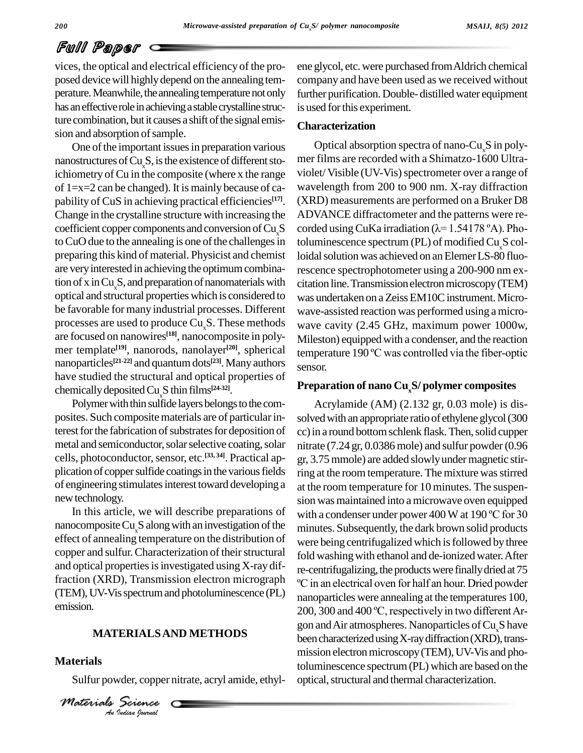# Full Paper

vices, the optical and electrical efficiency of the pro posed device will highly depend on the annealing temperature. Meanwhile, the annealing temperature not only has an effective role in achieving a stable crystalline structure combination, but it causes a shift of the signal emission and absorption of sample.

One of the important issues in preparation various nanostructures of  $Cu<sub>s</sub>S$ , is the existence of different stoichiometry of Cu in the composite (where x the range of 1=x=2 can be changed). It is mainly because of ca pability of CuS in achieving practical efficiencies **[17]**. Change in the crystalline structure with increasing the coefficient copper components and conversion of Cu<sub>x</sub>S corded using CuKa irradiation ( $\lambda$ =1.54178 °A). Photo CuO due to the annealing is one of the challenges in preparing this kind of material. Physicist and chemist are veryinterested in achieving the optimumcombination of x in  $Cu<sub>x</sub>S$ , and preparation of nanomaterials with optical and structural properties which is considered to be favorable for many industrial processes. Different processes are used to produce  $Cu<sub>x</sub>S$ . These methods are focused on nanowires **[18]**, nanocomposite in poly mer template **[19]**, nanorods, nanolayer **[20]**, spherical nanoparticles<sup>[21-22]</sup> and quantum dots<sup>[23]</sup>. Many authors sense have studied the structural and optical properties of chemically deposited Cu<sub>x</sub>S thin films<sup>[24-32]</sup>.

Polymer with thin sulfide layers belongs to the composites. Such composite materials are of particular interest for the fabrication of substrates for deposition of metal and semiconductor, solar selective coating, solar cells, photoconductor, sensor, etc.<sup>[33, 34]</sup>. Practical ap- gr. plication of copper sulfide coatings in the various fields of engineering stimulates interest toward developing a new technology.

nanocomposite  $Cu<sub>s</sub>S$  along with an investigation of the effect of annealing temperature on the distribution of copper and sulfur. Characterization of their structural and optical properties is investigated using X-ray diffraction (XRD), Transmission electron micrograph  $\circ$ C in an electrical oven for half an hour. Dried powder (TEM),UV-Visspectrumand photoluminescence (PL) emission.

#### *An***MATERIALSAND METHODS**

#### **Materials**

Sulfur powder, copper nitrate, acryl amide, ethyl-

*IERIALSA*<br> *Vder, copper*<br> *Science Materials Science*

ene glycol, etc.were purchased fromAldrich chemical company and have been used as we received without further purification. Double- distilled water equipment is used for this experiment.

### **Characterization**

Optical absorption spectra of nano-Cu<sub>x</sub>S in poly-<br>mer films are recorded with a Shimatzo-1600 Ultraviolet/Visible (UV-Vis) spectrometer over a range of wavelength from 200 to 900 nm. X-ray diffraction (XRD) measurements are performed on a Bruker D8<br>ADVANCE diffractometer and the patterns were re-<br>corded using CuKa irradiation ( $\lambda$ = 1.54178 °A). Pho-ADVANCE diffractometer and the patterns were re toluminescence spectrum  $(PL)$  of modified  $Cu<sub>x</sub>S$  colloidal solution was achieved on an Elemer LS-80 fluorescence spectrophotometer using a 200-900 nm ex citation line. Transmission electron microscopy (TEM) was undertaken on a Zeiss EM10C instrument. Microwave-assisted reaction was performed using a micro wave cavity (2.45 GHz, maximum power 1000w, Mileston) equippedwith a condenser, and the reaction wave cavity (2.45 GHz, maximum power 1000w,<br>Mileston) equipped with a condenser, and the reaction<br>temperature 190 °C was controlled via the fiber-optic sensor.

#### **Preparation of nano CuxS/ polymer composites**

In this article, we will describe preparations of with a condenser under power 400 W at 190 °C for 30 Acrylamide (AM) (2.132 gr, 0.03 mole) is dis solved with an appropriate ratio of ethylene glycol (300 cc) in a round bottom schlenk flask. Then, solid cupper nitrate  $(7.24 \text{ gr}, 0.0386 \text{ mole})$  and sulfur powder $(0.96$ gr, 3.75mmole) are added slowlyundermagnetic stirring at the room temperature. The mixture was stirred at the room temperature for 10 minutes. The suspen sion was maintained into a microwave oven equipped at the room temperature for 10 minutes. The suspension was maintained into a microwave oven equipped<br>with a condenser under power 400 W at 190 °C for 30 minutes. Subsequently, the dark brown solid products were being centrifugalized which is followed by three fold washing with ethanol and de-ionized water. After re-centrifugalizing, the products were finally dried at 75 washing with ethanol and de-ionized water. After<br>trifugalizing, the products were finally dried at 75<br>an electrical oven for half an hour. Dried powder nanoparticles were annealing at the temperatures 100, 200, 300 and 400 °C, respectively in two different Argon and Air atmospheres. Nanoparticles of Cu<sub>x</sub>S have been characterized using X-ray diffraction (XRD), transmission electron microscopy (TEM), UV-Vis and photoluminescence spectrum(PL) which are based on the optical, structural and thermal characterization.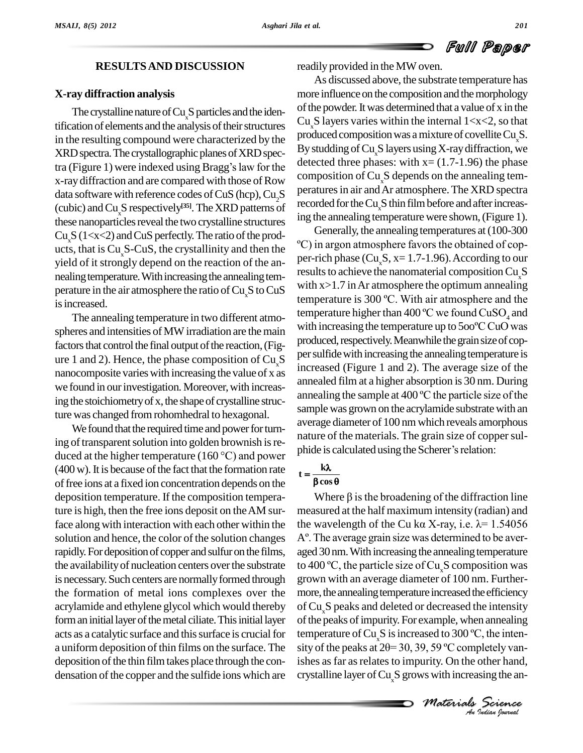# Full Paper

#### **RESULTSAND DISCUSSION**

#### **X-ray diffraction analysis**

The crystalline nature of  $Cu<sub>x</sub>S$  particles and the identification of elements and the analysis of their structures in the resulting compound were characterized by the production of XRD spectra. The crystallographic planes of XRD spectra (Figure 1) were indexed using Bragg's law for the detect XRD spectra. The crystallographic planes of XRD specx-ray diffraction and are compared with those of Row composition of  $Cu<sub>x</sub>S$  depends on the annealing temdata software with reference codes of  $CuS$  (hcp),  $Cu<sub>2</sub>S$ (cubic) and  $\text{Cu}_x\text{S}$  respectively<sup>[35]</sup>. The XRD patterns of  $\frac{\text{rec}}{\text{inc}}$ these nanoparticles reveal the two crystalline structures yield of it strongly depend on the reaction of the an nealing temperature. With increasing the annealing temis increased.

spheres and intensities of MW irradiation are the main factors that control the final output of the reaction, (Figure 1 and 2). Hence, the phase composition of  $Cu<sub>s</sub>S$ nanocomposite varieswith increasing the value of x as we found in our investigation. Moreover, with increasture was changed fromrohomhedral to hexagonal.

We found that the required time and power for turning of transparent solution into golden brownish is re-We found that the required time and power for turning of transparent solution into golden brownish is reduced at the higher temperature (160  $^{\circ}$ C) and power phic  $(400 \,\mathrm{w})$ . It is because of the fact that the formation rate offree ions ata fixed ion concentration depends on the deposition temperature. If the composition temperature is high, then the free ions deposit on theAM surface along with interaction with each other within the solution and hence, the color of the solution changes  $A^{\circ}$ . The average grain size was determined to be averrapidly. For deposition of copper and sulfur on the films, the availability of nucleation centers over the substrate is necessary. Such centers are normally formed through the formation of metal ions complexes over the acrylamide and ethylene glycol which would thereby form an initial layer of the metal ciliate. This initial layer acts as a catalytic surface and this surface is crucial for a uniform deposition of thin films on the surface. The sity of the peaks at  $2\theta = 30, 39, 59$  °C completely vandeposition of the thin film takes place through the condensation of the copper and the sulfide ions which are

readily provided in the MW oven.

As discussed above, the substrate temperature has more influence on the composition and the morphology ofthe powder.Itwas determined that a value of x in the Cu<sub>s</sub>S layers varies within the internal  $1 < x < 2$ , so that produced composition was a mixture of covellite Cu<sub>x</sub>S.<br>By studding of Cu<sub>x</sub>S layers using X-ray diffraction, we detected three phases: with  $x = (1.7-1.96)$  the phase peratures in air and Ar atmosphere. The XRD spectra recorded for the Cu<sub>x</sub>S thin film before and after increas-

Cu<sub>x</sub>S (1<x<2) and CuS perfectly. The ratio of the prod-<br>ucts, that is Cu<sub>x</sub>S-CuS, the crystallinity and then the  $\degree$ C) in argon atmosphere favors the obtained of copperature in the air atmosphere the ratio of  $Cu<sub>x</sub>$ S to CuS<br>is increased The annealing temperature in two different atmo-<br>erec and intensities of MW irradiation are the main with increasing the temperature up to  $500^{\circ}$ C CuO was  $\frac{1}{2}$  in the stoichiometry of x, the shape of crystalline struc-<br>ing the sample at 400 °C the particle size of the ing the annealing temperature were shown, (Figure 1).<br>Generally, the annealing temperatures at (100-300<br>°C) in argon atmosphere favors the obtained of cop-Generally, the annealing temperatures at(100-300 per-rich phase ( $Cu_sS$ , x= 1.7-1.96). According to our results to achieve the nanomaterial composition  $Cu.S$ with x>1.7 inAr atmosphere the optimum annealing results to achieve the nanomaterial composition Cu<sub>x</sub>S<br>with x>1.7 in Ar atmosphere the optimum annealing<br>temperature is 300 °C. With air atmosphere and the with x>1.7 in Ar atmosphere the optimum annealing<br>temperature is 300 °C. With air atmosphere and the<br>temperature higher than 400 °C we found  $CuSO_4$  and temperature is 300 °C. With air atmosphere and the<br>temperature higher than 400 °C we found  $CuSO_4$  and<br>with increasing the temperature up to 500 °C CuO was produced, respectively. Meanwhile the grain size of copper sulfide with increasing the annealing temperature is increased (Figure 1 and 2). The average size of the<br>annealed film at a higher absorption is 30 nm. During<br>annealing the sample at 400 °C the particle size of the annealed film at a higher absorption is30 nm. During sample was grown on the acrylamide substrate with an average diameter of 100 nm which reveals amorphous<br>nature of the materials. The grain size of copper sul-<br>phide is calculated using the Scherer's relation: nature of the materials. The grain size of copper sulnide is

# $\frac{k\lambda}{\cos\theta}$  $t = \frac{k\lambda}{2}$

A set to 300 °C, the inten-<br> *M* so °C completely van-<br> *M* increasing the an-<br> *Materials Science*<br> *An Indian Cournal* temperature of  $Cu_sS$  is increased to 300 °C, the inten-Where  $\beta$  is the broadening of the diffraction line measured at the half maximum intensity (radian) and Where  $\beta$  is the broadening of the diffraction line<br>measured at the half maximum intensity (radian) and<br>the wavelength of the Cu ka X-ray, i.e.  $\lambda$ = 1.54056 measured at the half maximum intensity (radian) and<br>the wavelength of the Cu ka X-ray, i.e.  $\lambda$ = 1.54056<br>A°. The average grain size was determined to be averaged 30 nm. With increasing the annealing temperature to 400  $\rm{°C}$ , the particle size of Cu<sub>x</sub>S composition was grown with an average diameter of 100 nm. Further more, the annealing temperature increased the efficiency of Cu<sub>x</sub>S peaks and deleted or decreased the intensity<br>of the peaks of impurity. For example, when annealing<br>temperature of Cu<sub>x</sub>S is increased to 300 °C, the inten-<br>sity of the peaks at 2 $\theta$ = 30, 39, 59 °C completely va of the peaks of impurity. For example, when annealing ishes as far as relates to impurity. On the other hand, crystalline layer of  $Cu<sub>x</sub>S$  grows with increasing the an-

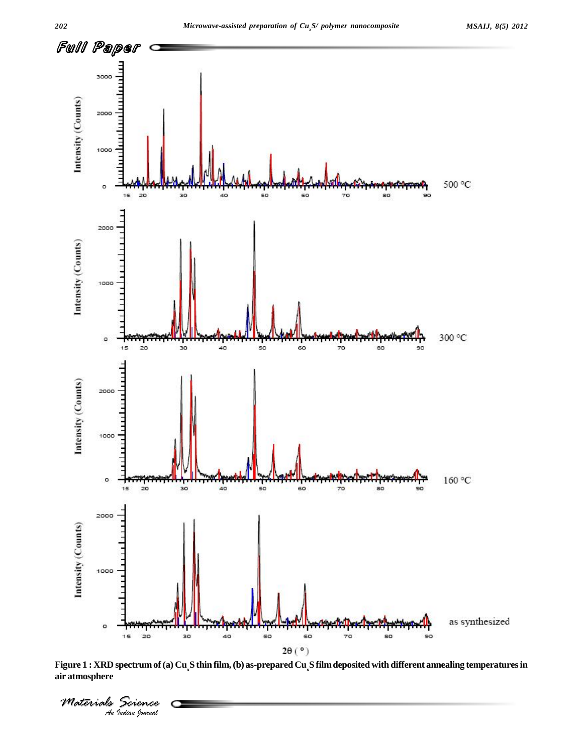

Figure 1: XRD spectrum of (a) Cu<sub>x</sub>S thin film, (b) as-prepared Cu<sub>x</sub>S film deposited with different annealing temperatures in **air atmosphere**

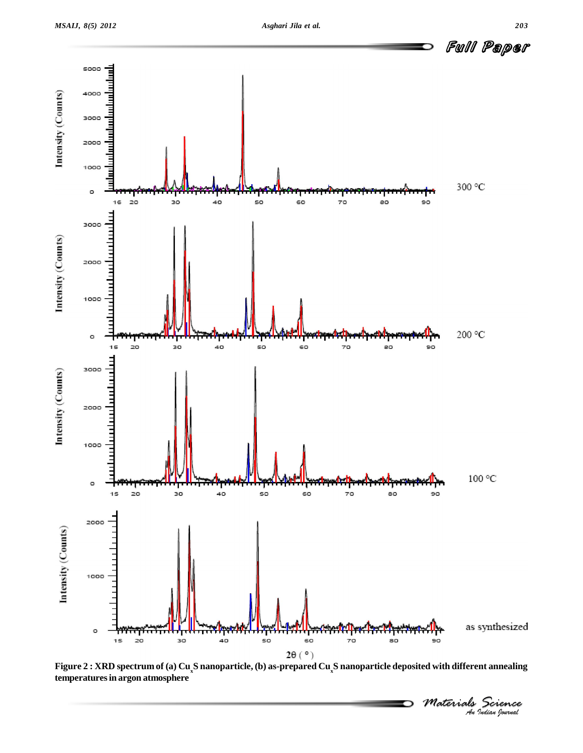

Figure 2 : XRD spectrum of (a) Cu<sub>x</sub>S nanoparticle, (b) as-prepared Cu<sub>x</sub>S nanoparticle deposited with different annealing **temperaturesin argon atmosphere**

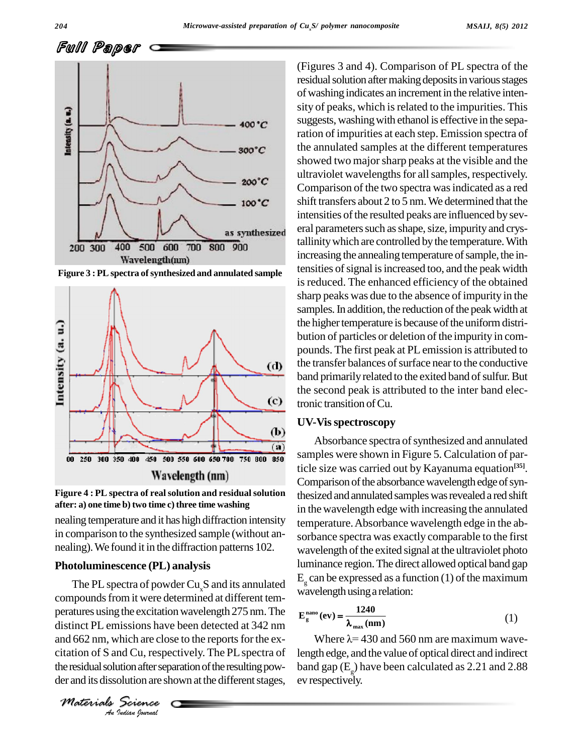Full Paper



**Figure 3 : PLspectra ofsynthesized and annulated sample**





nealing temperature and it has high diffraction intensity in comparison to the synthesized sample (without an nealing).We found it in the diffraction patterns 102.

#### **Photoluminescence (PL) analysis**

*An*and 662 nm, which are close to the reportsforthe ex- *Indian*<br>*Indian* cluster seption after seption are sh<br>*Indian hournal* The PL spectra of powder  $Cu<sub>x</sub>S$  and its annulated compounds from it were determined at different temperatures using the excitation wavelength 275 nm. The distinct PL emissions have been detected at 342 nm citation of S and Cu, respectively. The PLspectra of the residual solution after separation of the resulting pow-<br>ban der and its dissolution are shown at the different stages,

*Materials Science*

(Figures 3 and 4). Comparison of PL spectra of the residual solution after making deposits in various stages of washing indicates an increment in the relative intensity of peaks, which is related to the impurities. This suggests, washing with ethanol is effective in the separation of impurities at each step. Emission spectra of the annulated samples at the different temperatures showed two majorsharp peaks at the visible and the ultraviolet wavelengths for all samples, respectively. Comparison of the two spectra wasindicated as a red shift transfers about 2 to 5 nm. We determined that the intensities of the resulted peaks are influenced by several parameters such as shape, size, impurity and crystallinity which are controlled by the temperature. With increasing the annealing temperature of sample, the intensities of signal is increased too, and the peak width is reduced. The enhanced efficiency of the obtained sharp peaks was due to the absence of impurity in the samples. In addition, the reduction of the peak width at the higher temperature is because of the uniform distribution of particles or deletion of the impurity in com pounds. The first peak at PL emission is attributed to the transfer balances of surface near to the conductive band primarily related to the exited band of sulfur. But the second peak is attributed to the inter band electronic transition of Cu.

#### **UV-Visspectroscopy**

Absorbance spectra of synthesized and annulated samples were shown in Figure 5. Calculation of particle size was carried out by Kayanuma equation **[35]**. Comparison of the absorbance wavelength edge of synthesized and annulated samples was revealed a red shift in the wavelength edge with increasing the annulated temperature.Absorbance wavelength edge in the ab sorbance spectra was exactly comparable to the first wavelength of the exited signal at the ultraviolet photo luminance region.The direct allowed optical band gap  $E<sub>g</sub>$  can be expressed as a function (1) of the maximum wavelength usinga relation:

$$
E_{g}^{nano}(ev) = \frac{1240}{\lambda_{max}(nm)}
$$
 (1)

Where  $\lambda$  = 430 and 560 nm are maximum wavelength edge, and the value of optical direct and indirect band gap ( $E_g$ ) have been calculated as 2.21 and 2.88 ev respectively.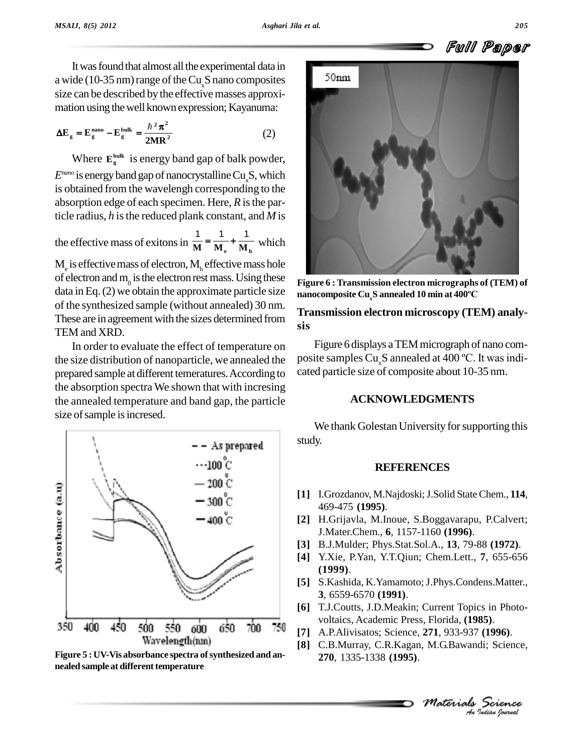

It was found that almost all the experimental data in<br> $\frac{1}{2}$  (10.35 nm) range of the Cu. S nano composites a wide (10-35 nm) range of the  $Cu_sS$  nano composites size can be described by the effective masses approxi mation using the well known expression; Kayanuma:<br> $\Delta E = E^{nano} - E^{bulk} = \frac{\hbar^2 \pi^2}{2}$  (2)

$$
\Delta E_{g} = E_{g}^{\text{nano}} - E_{g}^{\text{bulk}} = \frac{\hbar^{2} \pi^{2}}{2MR^{2}}
$$
 (2)

Where  $E_g^{\text{bulk}}$  is energy band gap of balk powder, *E*<sup>nano</sup> is energy band gap of nanocrystalline Cu<sub>x</sub>S, which is obtained from the wavelengh corresponding to the absorption edge of each specimen. Here, *R* isthe particle radius, *h* isthe reduced plank constant, and *M* is

ticle radius, h is the reduced plank constant, and M is<br>the effective mass of exitons in  $\frac{1}{M} = \frac{1}{M_e} + \frac{1}{M_h}$  which

 $M<sub>e</sub>$  is effective mass of electron,  $M<sub>h</sub>$  effective mass hole of electron and  $m_0$  is the electron rest mass. Using these Figure data in Eq. (2) we obtain the approximate particle size nanocomposite Cu<sub>.</sub>S annealed 10 min at 400°C of the synthesized sample (without annealed) 30 nm. These are in agreement with the sizes determined from TEM and XRD.

In order to evaluate the effect of temperature on the size distribution of nanoparticle, we annealed the prepared sample at different temeratures. According to cated particle size of composite about 10-35 nm. the absorption spectra We shown that with incresing the annealed temperature and band gap, the particle size of sample is incresed.



**<sup>270</sup>**, 1335-1338 **(1995)**. **Figure <sup>5</sup> : UV-Vis absorbance spectra ofsynthesized and an- nealed sample at differenttemperature**



**Figure 6 : Transmission electron micrographs of (TEM) of nanocomposite Cux<sup>S</sup> annealed <sup>10</sup> min at <sup>400</sup>ºC**

## **Transmission electron microscopy (TEM) analy sis**

Figure 6 displays a TEM micrograph of nano composite samples Cu<sub>x</sub>S annealed at 400 °C. It was indi-

# **ACKNOWLEDGMENTS**

We thank Golestan University for supporting this study.

### **REFERENCES**

- **[1]** I.Grozdanov, M.Najdoski;J.Solid StateChem., **114**, 469-475 **(1995)**.
- **[2]** H.Grijavla, M.Inoue, S.Boggavarapu, P.Calvert; J.Mater.Chem., **6**, 1157-1160 **(1996)**.
- **[3]** B.J.Mulder; Phys.Stat.Sol.A., **13**, 79-88 **(1972)**.
- **[4]** Y.Xie, P.Yan, Y.T.Qiun; Chem.Lett., **7**, 655-656 **(1999)**.
- [5] S.Kashida, K.Yamamoto; J.Phys.Condens.Matter., **3**, 6559-6570 **(1991)**.
- **[6]** T.J.Coutts, J.D.Meakin; Current Topics in Photo voltaics, Academic Press, Florida, **(1985)**.
- *An***[7]** A.P.Alivisatos; Science, **271**, 933-937 **(1996)**.
- **M.G.Bawandi; Science,<br>** *M.G.Bawandi; Science,<br>
<i>Materials Science<br>
<sup>Au Judian Iourual*</sup> **[8]** C.B.Murray, C.R.Kagan, M.G.Bawandi; Science,